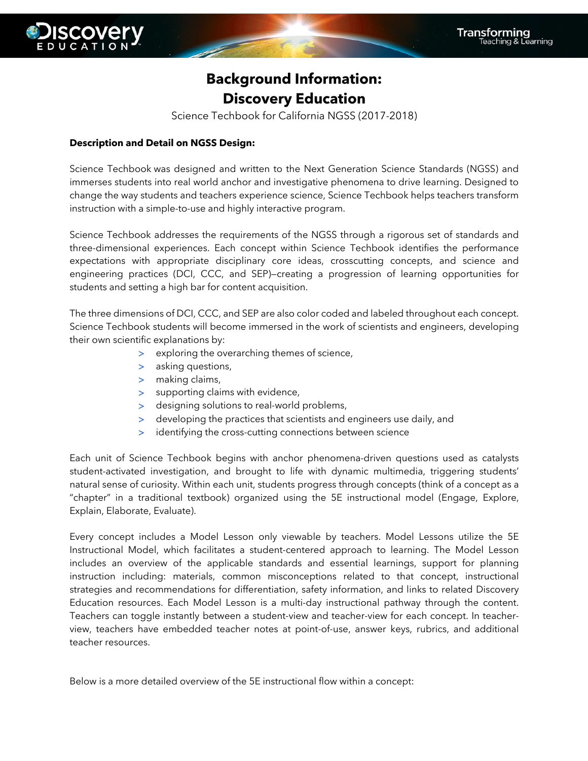## **Background Information: Discovery Education**

Science Techbook for California NGSS (2017-2018)

## **Description and Detail on NGSS Design:**

Science Techbook was designed and written to the Next Generation Science Standards (NGSS) and immerses students into real world anchor and investigative phenomena to drive learning. Designed to change the way students and teachers experience science, Science Techbook helps teachers transform instruction with a simple-to-use and highly interactive program.

Science Techbook addresses the requirements of the NGSS through a rigorous set of standards and three-dimensional experiences. Each concept within Science Techbook identifies the performance expectations with appropriate disciplinary core ideas, crosscutting concepts, and science and engineering practices (DCI, CCC, and SEP)—creating a progression of learning opportunities for students and setting a high bar for content acquisition.

The three dimensions of DCI, CCC, and SEP are also color coded and labeled throughout each concept. Science Techbook students will become immersed in the work of scientists and engineers, developing their own scientific explanations by:

- > exploring the overarching themes of science,
- > asking questions,
- > making claims,
- > supporting claims with evidence,
- > designing solutions to real-world problems,
- > developing the practices that scientists and engineers use daily, and
- > identifying the cross-cutting connections between science

Each unit of Science Techbook begins with anchor phenomena-driven questions used as catalysts student-activated investigation, and brought to life with dynamic multimedia, triggering students' natural sense of curiosity. Within each unit, students progress through concepts (think of a concept as a "chapter" in a traditional textbook) organized using the 5E instructional model (Engage, Explore, Explain, Elaborate, Evaluate).

Every concept includes a Model Lesson only viewable by teachers. Model Lessons utilize the 5E Instructional Model, which facilitates a student-centered approach to learning. The Model Lesson includes an overview of the applicable standards and essential learnings, support for planning instruction including: materials, common misconceptions related to that concept, instructional strategies and recommendations for differentiation, safety information, and links to related Discovery Education resources. Each Model Lesson is a multi-day instructional pathway through the content. Teachers can toggle instantly between a student-view and teacher-view for each concept. In teacherview, teachers have embedded teacher notes at point-of-use, answer keys, rubrics, and additional teacher resources.

Below is a more detailed overview of the 5E instructional flow within a concept: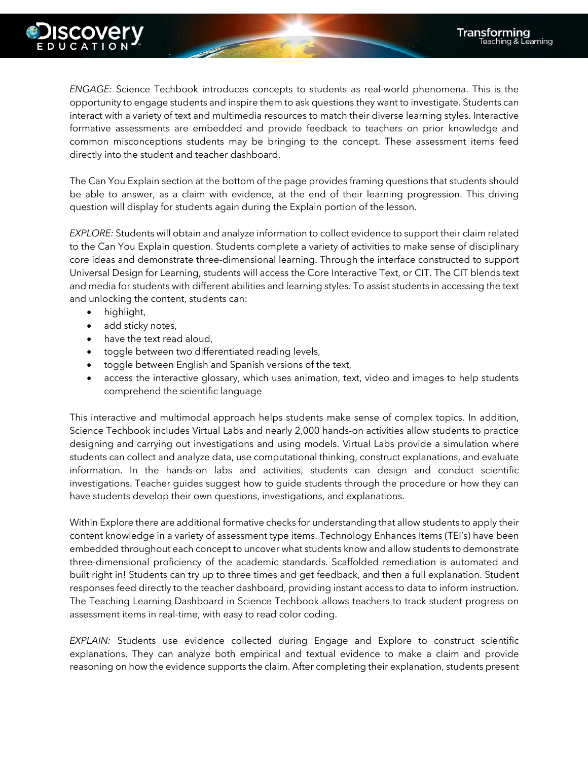

*ENGAGE:* Science Techbook introduces concepts to students as real-world phenomena. This is the opportunity to engage students and inspire them to ask questions they want to investigate. Students can interact with a variety of text and multimedia resources to match their diverse learning styles. Interactive formative assessments are embedded and provide feedback to teachers on prior knowledge and common misconceptions students may be bringing to the concept. These assessment items feed directly into the student and teacher dashboard.

The Can You Explain section at the bottom of the page provides framing questions that students should be able to answer, as a claim with evidence, at the end of their learning progression. This driving question will display for students again during the Explain portion of the lesson.

*EXPLORE:* Students will obtain and analyze information to collect evidence to support their claim related to the Can You Explain question. Students complete a variety of activities to make sense of disciplinary core ideas and demonstrate three-dimensional learning. Through the interface constructed to support Universal Design for Learning, students will access the Core Interactive Text, or CIT. The CIT blends text and media for students with different abilities and learning styles. To assist students in accessing the text and unlocking the content, students can:

- highlight,
- add sticky notes,
- have the text read aloud,
- toggle between two differentiated reading levels,
- toggle between English and Spanish versions of the text,
- access the interactive glossary, which uses animation, text, video and images to help students comprehend the scientific language

This interactive and multimodal approach helps students make sense of complex topics. In addition, Science Techbook includes Virtual Labs and nearly 2,000 hands-on activities allow students to practice designing and carrying out investigations and using models. Virtual Labs provide a simulation where students can collect and analyze data, use computational thinking, construct explanations, and evaluate information. In the hands-on labs and activities, students can design and conduct scientific investigations. Teacher guides suggest how to guide students through the procedure or how they can have students develop their own questions, investigations, and explanations.

Within Explore there are additional formative checks for understanding that allow students to apply their content knowledge in a variety of assessment type items. Technology Enhances Items (TEI's) have been embedded throughout each concept to uncover what students know and allow students to demonstrate three-dimensional proficiency of the academic standards. Scaffolded remediation is automated and built right in! Students can try up to three times and get feedback, and then a full explanation. Student responses feed directly to the teacher dashboard, providing instant access to data to inform instruction. The Teaching Learning Dashboard in Science Techbook allows teachers to track student progress on assessment items in real-time, with easy to read color coding.

*EXPLAIN:* Students use evidence collected during Engage and Explore to construct scientific explanations. They can analyze both empirical and textual evidence to make a claim and provide reasoning on how the evidence supports the claim. After completing their explanation, students present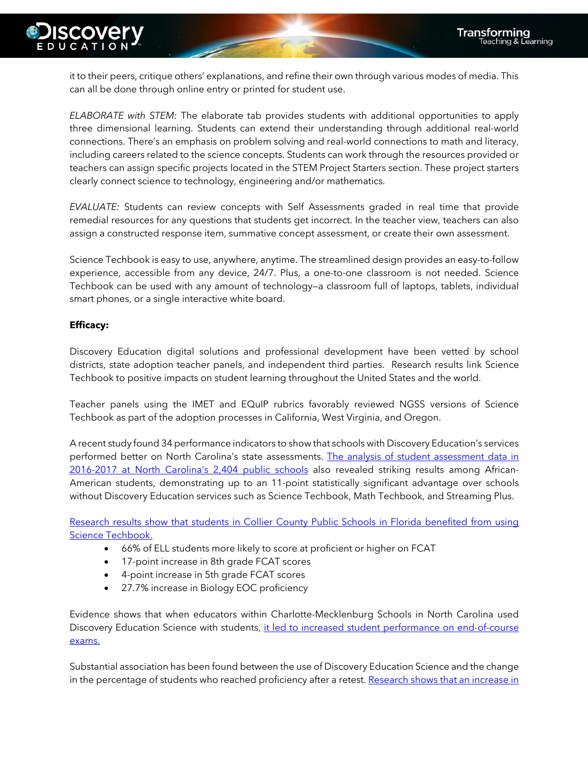

it to their peers, critique others' explanations, and refine their own through various modes of media. This can all be done through online entry or printed for student use.

*ELABORATE with STEM:* The elaborate tab provides students with additional opportunities to apply three dimensional learning. Students can extend their understanding through additional real-world connections. There's an emphasis on problem solving and real-world connections to math and literacy, including careers related to the science concepts. Students can work through the resources provided or teachers can assign specific projects located in the STEM Project Starters section. These project starters clearly connect science to technology, engineering and/or mathematics.

*EVALUATE:* Students can review concepts with Self Assessments graded in real time that provide remedial resources for any questions that students get incorrect. In the teacher view, teachers can also assign a constructed response item, summative concept assessment, or create their own assessment.

Science Techbook is easy to use, anywhere, anytime. The streamlined design provides an easy-to-follow experience, accessible from any device, 24/7. Plus, a one-to-one classroom is not needed. Science Techbook can be used with any amount of technology—a classroom full of laptops, tablets, individual smart phones, or a single interactive white board.

## **Efficacy:**

Discovery Education digital solutions and professional development have been vetted by school districts, state adoption teacher panels, and independent third parties. Research results link Science Techbook to positive impacts on student learning throughout the United States and the world.

Teacher panels using the IMET and EQuIP rubrics favorably reviewed NGSS versions of Science Techbook as part of the adoption processes in California, West Virginia, and Oregon.

A recent study found 34 performance indicators to show that schools with Discovery Education's services performed better on North Carolina's state assessments. The analysis of student assessment data in 2016-2017 at North Carolina's 2,404 public schools also revealed striking results among African-American students, demonstrating up to an 11-point statistically significant advantage over schools without Discovery Education services such as Science Techbook, Math Techbook, and Streaming Plus.

Research results show that students in Collier County Public Schools in Florida benefited from using Science Techbook.

- 66% of ELL students more likely to score at proficient or higher on FCAT
- 17-point increase in 8th grade FCAT scores
- 4-point increase in 5th grade FCAT scores
- 27.7% increase in Biology EOC proficiency

Evidence shows that when educators within Charlotte-Mecklenburg Schools in North Carolina used Discovery Education Science with students, it led to increased student performance on end-of-course exams.

Substantial association has been found between the use of Discovery Education Science and the change in the percentage of students who reached proficiency after a retest. Research shows that an increase in